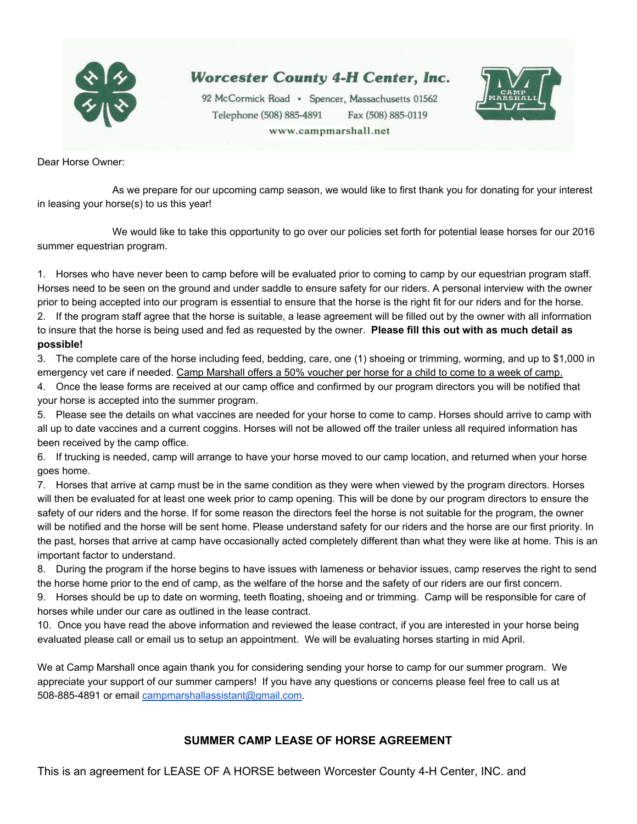

# **Worcester County 4-H Center, Inc.**

92 McCormick Road · Spencer, Massachusetts 01562 Telephone (508) 885-4891 Fax (508) 885-0119 www.campmarshall.net



Dear Horse Owner:

As we prepare for our upcoming camp season, we would like to first thank you for donating for your interest in leasing your horse(s) to us this year!

We would like to take this opportunity to go over our policies set forth for potential lease horses for our 2016 summer equestrian program.

1. Horses who have never been to camp before will be evaluated prior to coming to camp by our equestrian program staff. Horses need to be seen on the ground and under saddle to ensure safety for our riders. A personal interview with the owner prior to being accepted into our program is essential to ensure that the horse is the right fit for our riders and for the horse.

2. If the program staff agree that the horse is suitable, a lease agreement will be filled out by the owner with all information to insure that the horse is being used and fed as requested by the owner. **Please fill this out with as much detail as possible!**

3. The complete care of the horse including feed, bedding, care, one (1) shoeing or trimming, worming, and up to \$1,000 in emergency vet care if needed. Camp Marshall offers a 50% voucher per horse for a child to come to a week of camp.

4. Once the lease forms are received at our camp office and confirmed by our program directors you will be notified that your horse is accepted into the summer program.

5. Please see the details on what vaccines are needed for your horse to come to camp. Horses should arrive to camp with all up to date vaccines and a current coggins. Horses will not be allowed off the trailer unless all required information has been received by the camp office.

6. If trucking is needed, camp will arrange to have your horse moved to our camp location, and returned when your horse goes home.

7. Horses that arrive at camp must be in the same condition as they were when viewed by the program directors. Horses will then be evaluated for at least one week prior to camp opening. This will be done by our program directors to ensure the safety of our riders and the horse. If for some reason the directors feel the horse is not suitable for the program, the owner will be notified and the horse will be sent home. Please understand safety for our riders and the horse are our first priority. In the past, horses that arrive at camp have occasionally acted completely different than what they were like at home. This is an important factor to understand.

8. During the program if the horse begins to have issues with lameness or behavior issues, camp reserves the right to send the horse home prior to the end of camp, as the welfare of the horse and the safety of our riders are our first concern.

9. Horses should be up to date on worming, teeth floating, shoeing and or trimming. Camp will be responsible for care of horses while under our care as outlined in the lease contract.

10. Once you have read the above information and reviewed the lease contract, if you are interested in your horse being evaluated please call or email us to setup an appointment. We will be evaluating horses starting in mid April.

We at Camp Marshall once again thank you for considering sending your horse to camp for our summer program. We appreciate your support of our summer campers! If you have any questions or concerns please feel free to call us at 508-885-4891 or email [campmarshallassistant@gmail.com.](mailto:campmarshallassistant@gmail.com)

# **SUMMER CAMP LEASE OF HORSE AGREEMENT**

This is an agreement for LEASE OF A HORSE between Worcester County 4-H Center, INC. and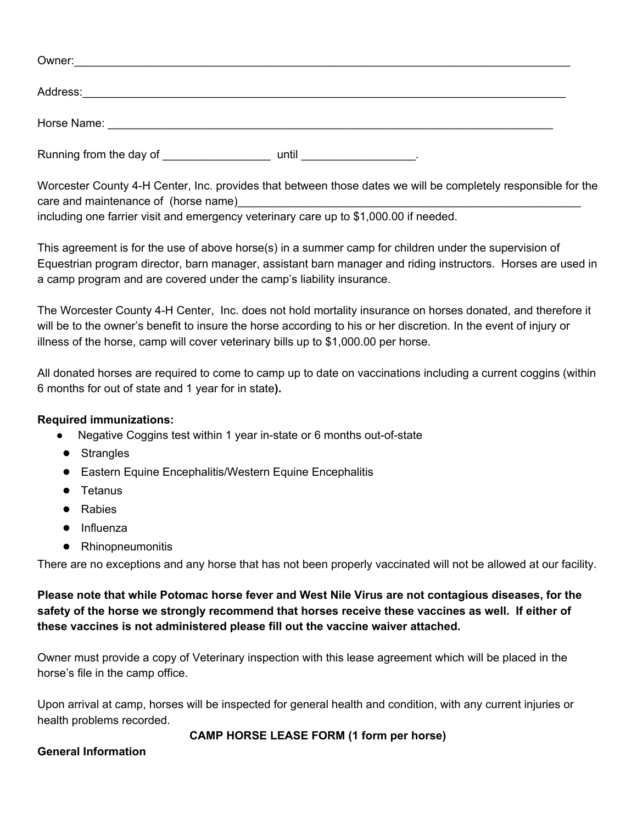| Owner:                  |       |  |
|-------------------------|-------|--|
|                         |       |  |
| Address:                |       |  |
|                         |       |  |
|                         |       |  |
|                         |       |  |
| Running from the day of | until |  |

Worcester County 4H Center, Inc. provides that between those dates we will be completely responsible for the care and maintenance of (horse name) including one farrier visit and emergency veterinary care up to \$1,000.00 if needed.

This agreement is for the use of above horse(s) in a summer camp for children under the supervision of Equestrian program director, barn manager, assistant barn manager and riding instructors. Horses are used in a camp program and are covered under the camp's liability insurance.

The Worcester County 4H Center, Inc. does not hold mortality insurance on horses donated, and therefore it will be to the owner's benefit to insure the horse according to his or her discretion. In the event of injury or illness of the horse, camp will cover veterinary bills up to \$1,000.00 per horse.

All donated horses are required to come to camp up to date on vaccinations including a current coggins (within 6 months for out of state and 1 year for in state**).**

# **Required immunizations:**

- Negative Coggins test within 1 year in-state or 6 months out-of-state
- Strangles
- Eastern Equine Encephalitis/Western Equine Encephalitis
- Tetanus
- Rabies
- Influenza
- Rhinopneumonitis

There are no exceptions and any horse that has not been properly vaccinated will not be allowed at our facility.

# **Please note that while Potomac horse fever and West Nile Virus are not contagious diseases, for the safety of the horse we strongly recommend that horses receive these vaccines as well. If either of these vaccines is not administered please fill out the vaccine waiver attached.**

Owner must provide a copy of Veterinary inspection with this lease agreement which will be placed in the horse's file in the camp office.

Upon arrival at camp, horses will be inspected for general health and condition, with any current injuries or health problems recorded.

# **CAMP HORSE LEASE FORM (1 form per horse)**

### **General Information**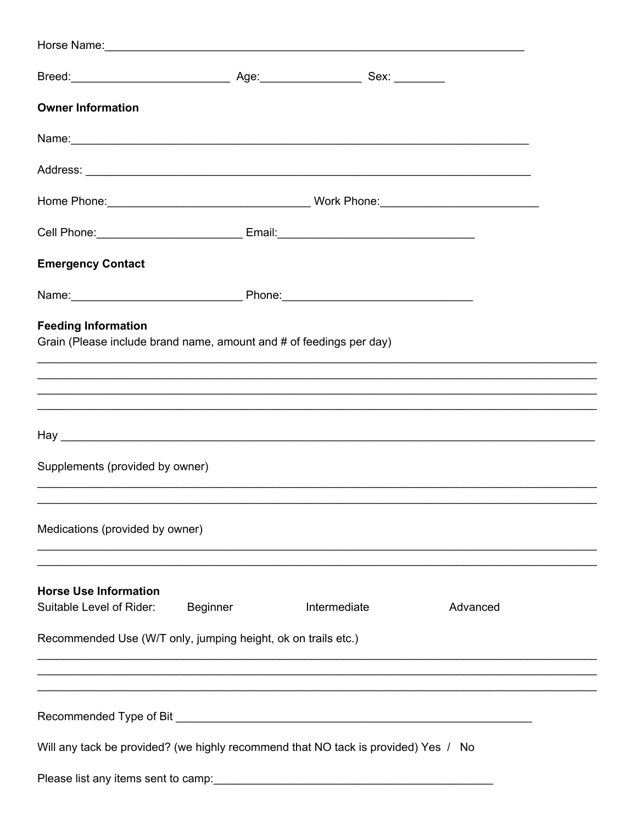| Horse Name: 1988 Contract and the Marian Contract of the Marian Contract of the Marian Contract of the Marian Contract of the Marian Contract of the Marian Contract of the Marian Contract of the Marian Contract of the Mari |          |              |          |  |
|--------------------------------------------------------------------------------------------------------------------------------------------------------------------------------------------------------------------------------|----------|--------------|----------|--|
|                                                                                                                                                                                                                                |          |              |          |  |
| <b>Owner Information</b>                                                                                                                                                                                                       |          |              |          |  |
| Name: Name: Name: Name: Name: Name: Name: Name: Name: Name: Name: Name: Name: Name: Name: Name: Name: Name: Name: Name: Name: Name: Name: Name: Name: Name: Name: Name: Name: Name: Name: Name: Name: Name: Name: Name: Name:  |          |              |          |  |
|                                                                                                                                                                                                                                |          |              |          |  |
|                                                                                                                                                                                                                                |          |              |          |  |
|                                                                                                                                                                                                                                |          |              |          |  |
| <b>Emergency Contact</b>                                                                                                                                                                                                       |          |              |          |  |
|                                                                                                                                                                                                                                |          |              |          |  |
| <b>Feeding Information</b><br>Grain (Please include brand name, amount and # of feedings per day)                                                                                                                              |          |              |          |  |
| Supplements (provided by owner)                                                                                                                                                                                                |          |              |          |  |
| Medications (provided by owner)                                                                                                                                                                                                |          |              |          |  |
| <b>Horse Use Information</b><br>Suitable Level of Rider:                                                                                                                                                                       | Beginner | Intermediate | Advanced |  |
| Recommended Use (W/T only, jumping height, ok on trails etc.)                                                                                                                                                                  |          |              |          |  |
|                                                                                                                                                                                                                                |          |              |          |  |
|                                                                                                                                                                                                                                |          |              |          |  |
| Will any tack be provided? (we highly recommend that NO tack is provided) Yes / No                                                                                                                                             |          |              |          |  |
| Please list any items sent to camp: [19] Dease list any items sent to camp:                                                                                                                                                    |          |              |          |  |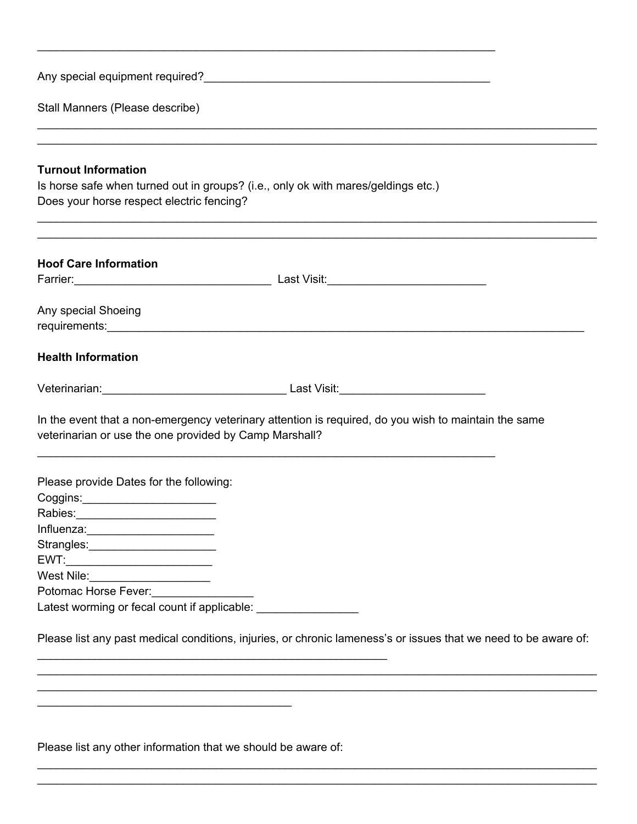Any special equipment required?<br>
<u>Letter and the contract and the contract of the contract of the contract of the contract of the contract of the contract of the contract of the contract of the contract of the contract of </u>

Stall Manners (Please describe)

#### **Turnout Information**

Is horse safe when turned out in groups? (i.e., only ok with mares/geldings etc.) Does your horse respect electric fencing?

\_\_\_\_\_\_\_\_\_\_\_\_\_\_\_\_\_\_\_\_\_\_\_\_\_\_\_\_\_\_\_\_\_\_\_\_\_\_\_\_\_\_\_\_\_\_\_\_\_\_\_\_\_\_\_\_\_\_\_\_\_\_\_\_\_\_\_\_\_\_\_\_

\_\_\_\_\_\_\_\_\_\_\_\_\_\_\_\_\_\_\_\_\_\_\_\_\_\_\_\_\_\_\_\_\_\_\_\_\_\_\_\_\_\_\_\_\_\_\_\_\_\_\_\_\_\_\_\_\_\_\_\_\_\_\_\_\_\_\_\_\_\_\_\_\_\_\_\_\_\_\_\_\_\_\_\_\_\_\_\_ \_\_\_\_\_\_\_\_\_\_\_\_\_\_\_\_\_\_\_\_\_\_\_\_\_\_\_\_\_\_\_\_\_\_\_\_\_\_\_\_\_\_\_\_\_\_\_\_\_\_\_\_\_\_\_\_\_\_\_\_\_\_\_\_\_\_\_\_\_\_\_\_\_\_\_\_\_\_\_\_\_\_\_\_\_\_\_\_

\_\_\_\_\_\_\_\_\_\_\_\_\_\_\_\_\_\_\_\_\_\_\_\_\_\_\_\_\_\_\_\_\_\_\_\_\_\_\_\_\_\_\_\_\_\_\_\_\_\_\_\_\_\_\_\_\_\_\_\_\_\_\_\_\_\_\_\_\_\_\_\_\_\_\_\_\_\_\_\_\_\_\_\_\_\_\_\_ \_\_\_\_\_\_\_\_\_\_\_\_\_\_\_\_\_\_\_\_\_\_\_\_\_\_\_\_\_\_\_\_\_\_\_\_\_\_\_\_\_\_\_\_\_\_\_\_\_\_\_\_\_\_\_\_\_\_\_\_\_\_\_\_\_\_\_\_\_\_\_\_\_\_\_\_\_\_\_\_\_\_\_\_\_\_\_\_

| <b>Hoof Care Information</b>                                    |                                                                                                                 |
|-----------------------------------------------------------------|-----------------------------------------------------------------------------------------------------------------|
|                                                                 |                                                                                                                 |
| Any special Shoeing                                             |                                                                                                                 |
| <b>Health Information</b>                                       |                                                                                                                 |
|                                                                 |                                                                                                                 |
| veterinarian or use the one provided by Camp Marshall?          | In the event that a non-emergency veterinary attention is required, do you wish to maintain the same            |
| Please provide Dates for the following:                         |                                                                                                                 |
| Coggins:__________________________                              |                                                                                                                 |
|                                                                 |                                                                                                                 |
|                                                                 |                                                                                                                 |
| Strangles:________________________                              |                                                                                                                 |
|                                                                 |                                                                                                                 |
| West Nile: _______________________                              |                                                                                                                 |
| Potomac Horse Fever:                                            |                                                                                                                 |
| Latest worming or fecal count if applicable: __________________ |                                                                                                                 |
|                                                                 | Please list any past medical conditions, injuries, or chronic lameness's or issues that we need to be aware of: |

\_\_\_\_\_\_\_\_\_\_\_\_\_\_\_\_\_\_\_\_\_\_\_\_\_\_\_\_\_\_\_\_\_\_\_\_\_\_\_\_\_\_\_\_\_\_\_\_\_\_\_\_\_\_\_\_\_\_\_\_\_\_\_\_\_\_\_\_\_\_\_\_\_\_\_\_\_\_\_\_\_\_\_\_\_\_\_\_

\_\_\_\_\_\_\_\_\_\_\_\_\_\_\_\_\_\_\_\_\_\_\_\_\_\_\_\_\_\_\_\_\_\_\_\_\_\_\_\_\_\_\_\_\_\_\_\_\_\_\_\_\_\_\_\_\_\_\_\_\_\_\_\_\_\_\_\_\_\_\_\_\_\_\_\_\_\_\_\_\_\_\_\_\_\_\_\_ \_\_\_\_\_\_\_\_\_\_\_\_\_\_\_\_\_\_\_\_\_\_\_\_\_\_\_\_\_\_\_\_\_\_\_\_\_\_\_\_\_\_\_\_\_\_\_\_\_\_\_\_\_\_\_\_\_\_\_\_\_\_\_\_\_\_\_\_\_\_\_\_\_\_\_\_\_\_\_\_\_\_\_\_\_\_\_\_

Please list any other information that we should be aware of:

\_\_\_\_\_\_\_\_\_\_\_\_\_\_\_\_\_\_\_\_\_\_\_\_\_\_\_\_\_\_\_\_\_\_\_\_\_\_\_\_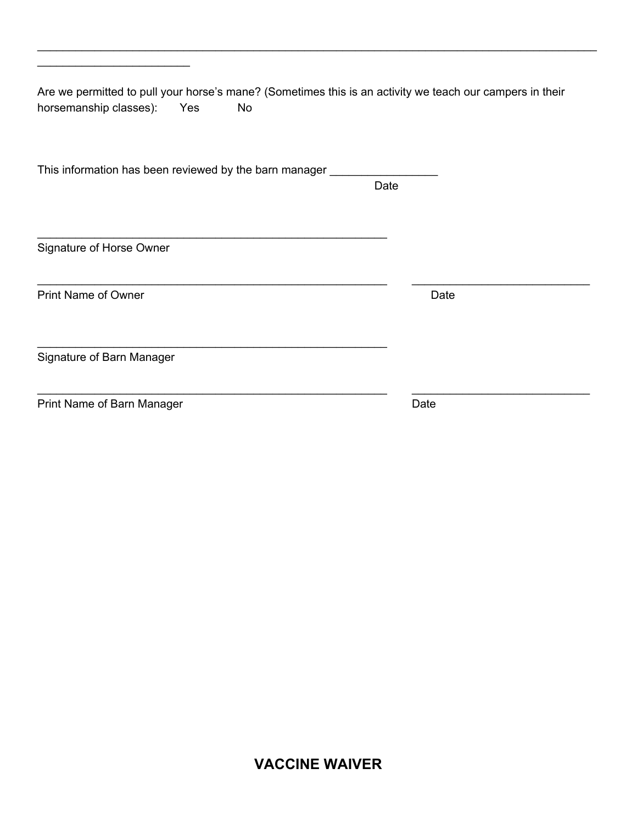Are we permitted to pull your horse's mane? (Sometimes this is an activity we teach our campers in their horsemanship classes): Yes No

\_\_\_\_\_\_\_\_\_\_\_\_\_\_\_\_\_\_\_\_\_\_\_\_\_\_\_\_\_\_\_\_\_\_\_\_\_\_\_\_\_\_\_\_\_\_\_\_\_\_\_\_\_\_\_ \_\_\_\_\_\_\_\_\_\_\_\_\_\_\_\_\_\_\_\_\_\_\_\_\_\_\_\_

\_\_\_\_\_\_\_\_\_\_\_\_\_\_\_\_\_\_\_\_\_\_\_\_\_\_\_\_\_\_\_\_\_\_\_\_\_\_\_\_\_\_\_\_\_\_\_\_\_\_\_\_\_\_\_\_\_\_\_\_\_\_\_\_\_\_\_\_\_\_\_\_\_\_\_\_\_\_\_\_\_\_\_\_\_\_\_\_

This information has been reviewed by the barn manager \_\_\_\_\_\_\_\_\_\_\_\_\_\_\_\_\_\_\_\_\_\_\_\_\_

\_\_\_\_\_\_\_\_\_\_\_\_\_\_\_\_\_\_\_\_\_\_\_\_\_\_\_\_\_\_\_\_\_\_\_\_\_\_\_\_\_\_\_\_\_\_\_\_\_\_\_\_\_\_\_

\_\_\_\_\_\_\_\_\_\_\_\_\_\_\_\_\_\_\_\_\_\_\_\_\_\_\_\_\_\_\_\_\_\_\_\_\_\_\_\_\_\_\_\_\_\_\_\_\_\_\_\_\_\_\_

Date

Signature of Horse Owner

\_\_\_\_\_\_\_\_\_\_\_\_\_\_\_\_\_\_\_\_\_\_\_\_

Print Name of Owner Date

Signature of Barn Manager

Print Name of Barn Manager **Date** Date

\_\_\_\_\_\_\_\_\_\_\_\_\_\_\_\_\_\_\_\_\_\_\_\_\_\_\_\_\_\_\_\_\_\_\_\_\_\_\_\_\_\_\_\_\_\_\_\_\_\_\_\_\_\_\_ \_\_\_\_\_\_\_\_\_\_\_\_\_\_\_\_\_\_\_\_\_\_\_\_\_\_\_\_